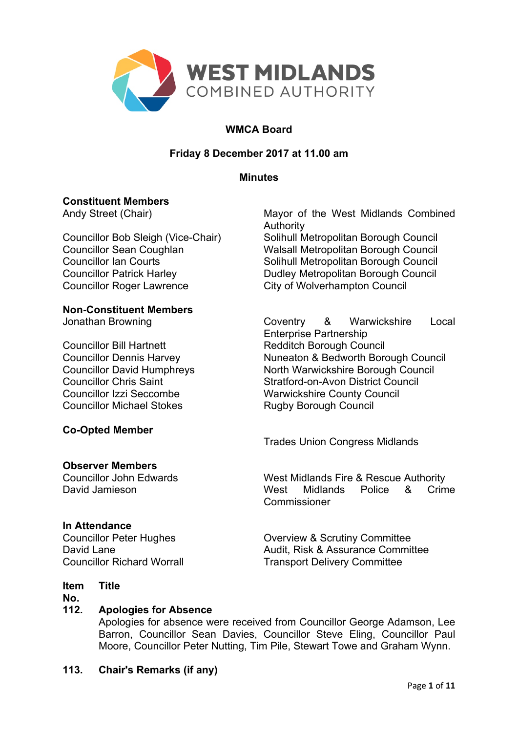

# **WMCA Board**

# **Friday 8 December 2017 at 11.00 am**

## **Minutes**

## **Constituent Members**

Councillor Roger Lawrence City of Wolverhampton Council

## **Non-Constituent Members**

Councillor Bill Hartnett Redditch Borough Council Councillor Michael Stokes Rugby Borough Council

## **Co-Opted Member**

## **Observer Members**

## **In Attendance**

#### **Item Title**

**No.**

# **112. Apologies for Absence**

Apologies for absence were received from Councillor George Adamson, Lee Barron, Councillor Sean Davies, Councillor Steve Eling, Councillor Paul Moore, Councillor Peter Nutting, Tim Pile, Stewart Towe and Graham Wynn.

## **113. Chair's Remarks (if any)**

Andy Street (Chair) Mayor of the West Midlands Combined Authority Councillor Bob Sleigh (Vice-Chair) Solihull Metropolitan Borough Council Councillor Sean Coughlan Walsall Metropolitan Borough Council Councillor Ian Courts<br>
Councillor Patrick Harley<br>
Councillor Patrick Harley<br>
Solihull Metropolitan Borough Council Dudley Metropolitan Borough Council

Jonathan Browning Coventry & Warwickshire Local Enterprise Partnership Councillor Dennis Harvey Nuneaton & Bedworth Borough Council Councillor David Humphreys<br>
Councillor Chris Saint<br>
Stratford-on-Avon District Council Stratford-on-Avon District Council Councillor Izzi Seccombe Warwickshire County Council

Trades Union Congress Midlands

Councillor John Edwards West Midlands Fire & Rescue Authority David Jamieson West Midlands Police & Crime **Commissioner** 

Councillor Peter Hughes **Councillor Peter Hughes** Overview & Scrutiny Committee David Lane **Audit, Risk & Assurance Committee** Councillor Richard Worrall **Transport Delivery Committee**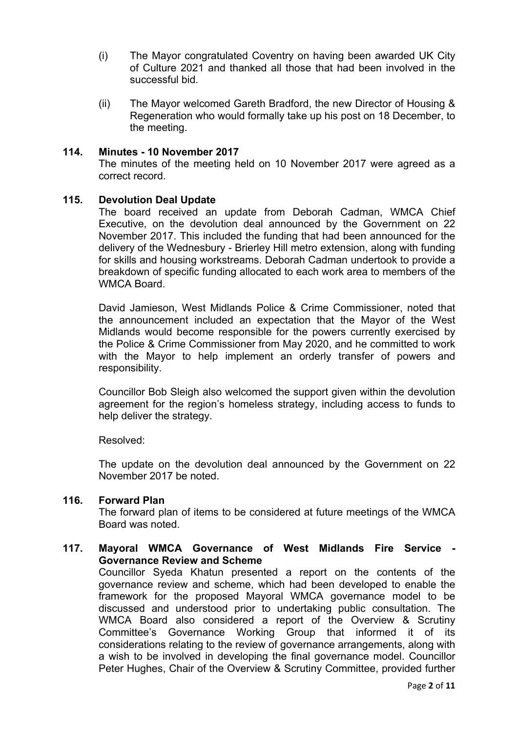- (i) The Mayor congratulated Coventry on having been awarded UK City of Culture 2021 and thanked all those that had been involved in the successful bid.
- (ii) The Mayor welcomed Gareth Bradford, the new Director of Housing & Regeneration who would formally take up his post on 18 December, to the meeting.

## **114. Minutes - 10 November 2017**

The minutes of the meeting held on 10 November 2017 were agreed as a correct record.

## **115. Devolution Deal Update**

The board received an update from Deborah Cadman, WMCA Chief Executive, on the devolution deal announced by the Government on 22 November 2017. This included the funding that had been announced for the delivery of the Wednesbury - Brierley Hill metro extension, along with funding for skills and housing workstreams. Deborah Cadman undertook to provide a breakdown of specific funding allocated to each work area to members of the WMCA Board.

David Jamieson, West Midlands Police & Crime Commissioner, noted that the announcement included an expectation that the Mayor of the West Midlands would become responsible for the powers currently exercised by the Police & Crime Commissioner from May 2020, and he committed to work with the Mayor to help implement an orderly transfer of powers and responsibility.

Councillor Bob Sleigh also welcomed the support given within the devolution agreement for the region's homeless strategy, including access to funds to help deliver the strategy.

Resolved:

The update on the devolution deal announced by the Government on 22 November 2017 be noted.

# **116. Forward Plan**

The forward plan of items to be considered at future meetings of the WMCA Board was noted.

## **117. Mayoral WMCA Governance of West Midlands Fire Service - Governance Review and Scheme**

Councillor Syeda Khatun presented a report on the contents of the governance review and scheme, which had been developed to enable the framework for the proposed Mayoral WMCA governance model to be discussed and understood prior to undertaking public consultation. The WMCA Board also considered a report of the Overview & Scrutiny Committee's Governance Working Group that informed it of its considerations relating to the review of governance arrangements, along with a wish to be involved in developing the final governance model. Councillor Peter Hughes, Chair of the Overview & Scrutiny Committee, provided further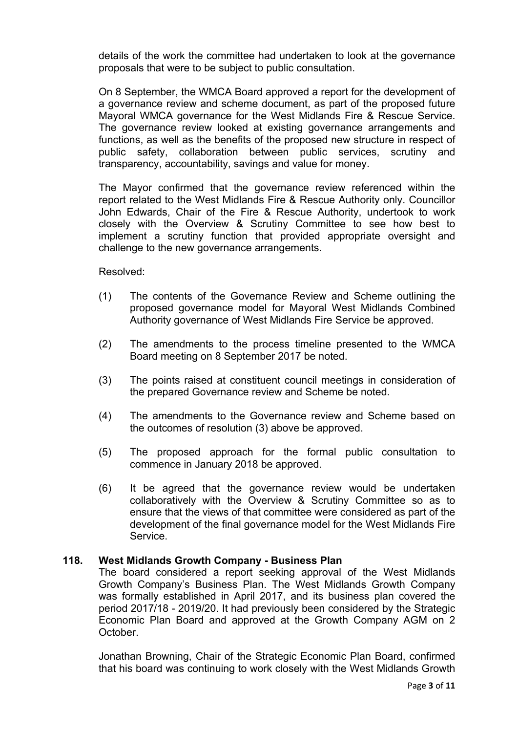details of the work the committee had undertaken to look at the governance proposals that were to be subject to public consultation.

On 8 September, the WMCA Board approved a report for the development of a governance review and scheme document, as part of the proposed future Mayoral WMCA governance for the West Midlands Fire & Rescue Service. The governance review looked at existing governance arrangements and functions, as well as the benefits of the proposed new structure in respect of public safety, collaboration between public services, scrutiny and transparency, accountability, savings and value for money.

The Mayor confirmed that the governance review referenced within the report related to the West Midlands Fire & Rescue Authority only. Councillor John Edwards, Chair of the Fire & Rescue Authority, undertook to work closely with the Overview & Scrutiny Committee to see how best to implement a scrutiny function that provided appropriate oversight and challenge to the new governance arrangements.

Resolved:

- (1) The contents of the Governance Review and Scheme outlining the proposed governance model for Mayoral West Midlands Combined Authority governance of West Midlands Fire Service be approved.
- (2) The amendments to the process timeline presented to the WMCA Board meeting on 8 September 2017 be noted.
- (3) The points raised at constituent council meetings in consideration of the prepared Governance review and Scheme be noted.
- (4) The amendments to the Governance review and Scheme based on the outcomes of resolution (3) above be approved.
- (5) The proposed approach for the formal public consultation to commence in January 2018 be approved.
- (6) It be agreed that the governance review would be undertaken collaboratively with the Overview & Scrutiny Committee so as to ensure that the views of that committee were considered as part of the development of the final governance model for the West Midlands Fire Service.

# **118. West Midlands Growth Company - Business Plan**

The board considered a report seeking approval of the West Midlands Growth Company's Business Plan. The West Midlands Growth Company was formally established in April 2017, and its business plan covered the period 2017/18 - 2019/20. It had previously been considered by the Strategic Economic Plan Board and approved at the Growth Company AGM on 2 October.

Jonathan Browning, Chair of the Strategic Economic Plan Board, confirmed that his board was continuing to work closely with the West Midlands Growth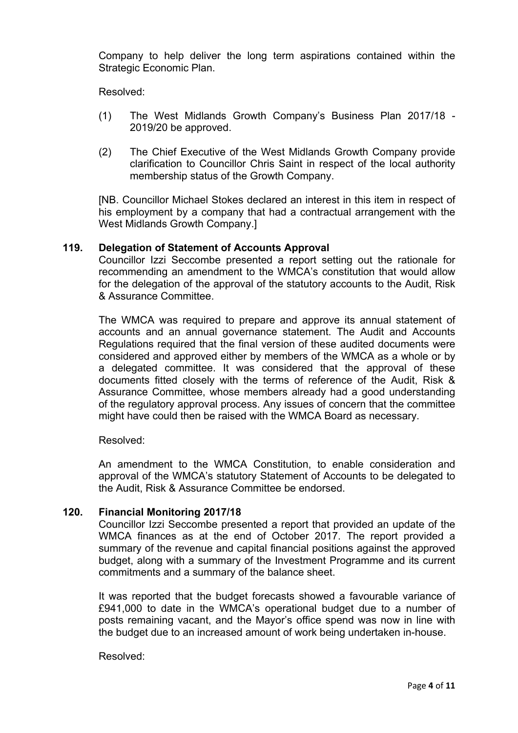Company to help deliver the long term aspirations contained within the Strategic Economic Plan.

Resolved:

- (1) The West Midlands Growth Company's Business Plan 2017/18 2019/20 be approved.
- (2) The Chief Executive of the West Midlands Growth Company provide clarification to Councillor Chris Saint in respect of the local authority membership status of the Growth Company.

[NB. Councillor Michael Stokes declared an interest in this item in respect of his employment by a company that had a contractual arrangement with the West Midlands Growth Company.]

## **119. Delegation of Statement of Accounts Approval**

Councillor Izzi Seccombe presented a report setting out the rationale for recommending an amendment to the WMCA's constitution that would allow for the delegation of the approval of the statutory accounts to the Audit, Risk & Assurance Committee.

The WMCA was required to prepare and approve its annual statement of accounts and an annual governance statement. The Audit and Accounts Regulations required that the final version of these audited documents were considered and approved either by members of the WMCA as a whole or by a delegated committee. It was considered that the approval of these documents fitted closely with the terms of reference of the Audit, Risk & Assurance Committee, whose members already had a good understanding of the regulatory approval process. Any issues of concern that the committee might have could then be raised with the WMCA Board as necessary.

Resolved:

An amendment to the WMCA Constitution, to enable consideration and approval of the WMCA's statutory Statement of Accounts to be delegated to the Audit, Risk & Assurance Committee be endorsed.

# **120. Financial Monitoring 2017/18**

Councillor Izzi Seccombe presented a report that provided an update of the WMCA finances as at the end of October 2017. The report provided a summary of the revenue and capital financial positions against the approved budget, along with a summary of the Investment Programme and its current commitments and a summary of the balance sheet.

It was reported that the budget forecasts showed a favourable variance of £941,000 to date in the WMCA's operational budget due to a number of posts remaining vacant, and the Mayor's office spend was now in line with the budget due to an increased amount of work being undertaken in-house.

Resolved: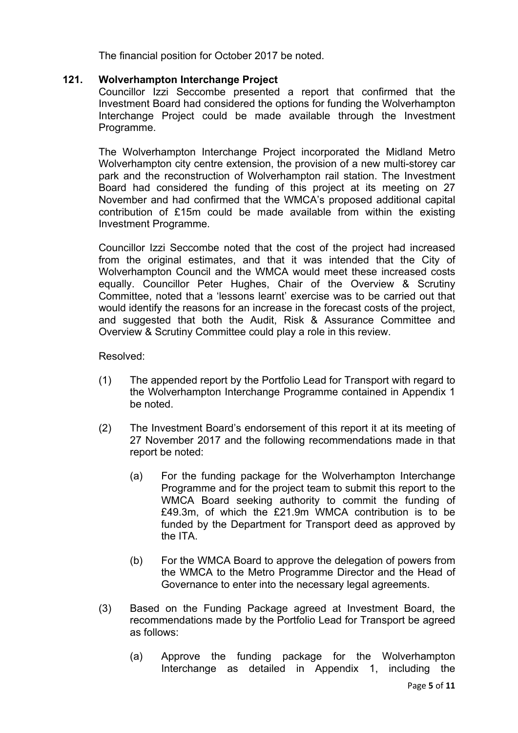The financial position for October 2017 be noted.

# **121. Wolverhampton Interchange Project**

Councillor Izzi Seccombe presented a report that confirmed that the Investment Board had considered the options for funding the Wolverhampton Interchange Project could be made available through the Investment Programme.

The Wolverhampton Interchange Project incorporated the Midland Metro Wolverhampton city centre extension, the provision of a new multi-storey car park and the reconstruction of Wolverhampton rail station. The Investment Board had considered the funding of this project at its meeting on 27 November and had confirmed that the WMCA's proposed additional capital contribution of £15m could be made available from within the existing Investment Programme.

Councillor Izzi Seccombe noted that the cost of the project had increased from the original estimates, and that it was intended that the City of Wolverhampton Council and the WMCA would meet these increased costs equally. Councillor Peter Hughes, Chair of the Overview & Scrutiny Committee, noted that a 'lessons learnt' exercise was to be carried out that would identify the reasons for an increase in the forecast costs of the project, and suggested that both the Audit, Risk & Assurance Committee and Overview & Scrutiny Committee could play a role in this review.

## Resolved:

- (1) The appended report by the Portfolio Lead for Transport with regard to the Wolverhampton Interchange Programme contained in Appendix 1 be noted.
- (2) The Investment Board's endorsement of this report it at its meeting of 27 November 2017 and the following recommendations made in that report be noted:
	- (a) For the funding package for the Wolverhampton Interchange Programme and for the project team to submit this report to the WMCA Board seeking authority to commit the funding of £49.3m, of which the £21.9m WMCA contribution is to be funded by the Department for Transport deed as approved by the ITA.
	- (b) For the WMCA Board to approve the delegation of powers from the WMCA to the Metro Programme Director and the Head of Governance to enter into the necessary legal agreements.
- (3) Based on the Funding Package agreed at Investment Board, the recommendations made by the Portfolio Lead for Transport be agreed as follows:
	- (a) Approve the funding package for the Wolverhampton Interchange as detailed in Appendix 1, including the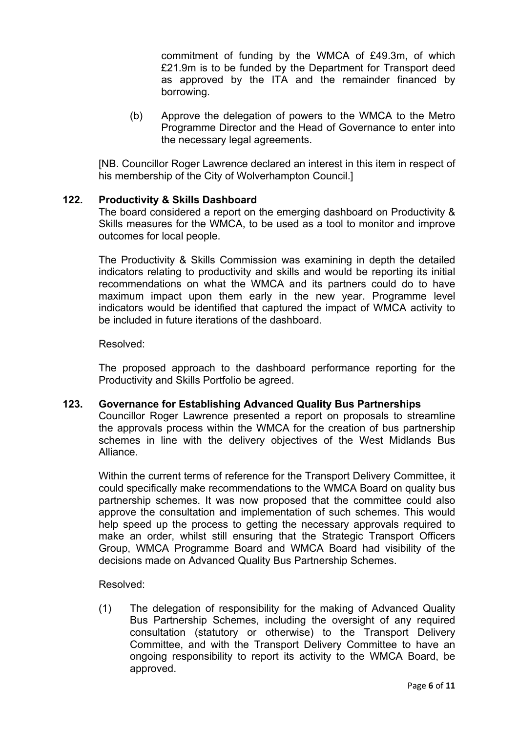commitment of funding by the WMCA of £49.3m, of which £21.9m is to be funded by the Department for Transport deed as approved by the ITA and the remainder financed by borrowing.

(b) Approve the delegation of powers to the WMCA to the Metro Programme Director and the Head of Governance to enter into the necessary legal agreements.

[NB. Councillor Roger Lawrence declared an interest in this item in respect of his membership of the City of Wolverhampton Council.]

## **122. Productivity & Skills Dashboard**

The board considered a report on the emerging dashboard on Productivity & Skills measures for the WMCA, to be used as a tool to monitor and improve outcomes for local people.

The Productivity & Skills Commission was examining in depth the detailed indicators relating to productivity and skills and would be reporting its initial recommendations on what the WMCA and its partners could do to have maximum impact upon them early in the new year. Programme level indicators would be identified that captured the impact of WMCA activity to be included in future iterations of the dashboard.

## Resolved:

The proposed approach to the dashboard performance reporting for the Productivity and Skills Portfolio be agreed.

## **123. Governance for Establishing Advanced Quality Bus Partnerships**

Councillor Roger Lawrence presented a report on proposals to streamline the approvals process within the WMCA for the creation of bus partnership schemes in line with the delivery objectives of the West Midlands Bus Alliance.

Within the current terms of reference for the Transport Delivery Committee, it could specifically make recommendations to the WMCA Board on quality bus partnership schemes. It was now proposed that the committee could also approve the consultation and implementation of such schemes. This would help speed up the process to getting the necessary approvals required to make an order, whilst still ensuring that the Strategic Transport Officers Group, WMCA Programme Board and WMCA Board had visibility of the decisions made on Advanced Quality Bus Partnership Schemes.

Resolved:

(1) The delegation of responsibility for the making of Advanced Quality Bus Partnership Schemes, including the oversight of any required consultation (statutory or otherwise) to the Transport Delivery Committee, and with the Transport Delivery Committee to have an ongoing responsibility to report its activity to the WMCA Board, be approved.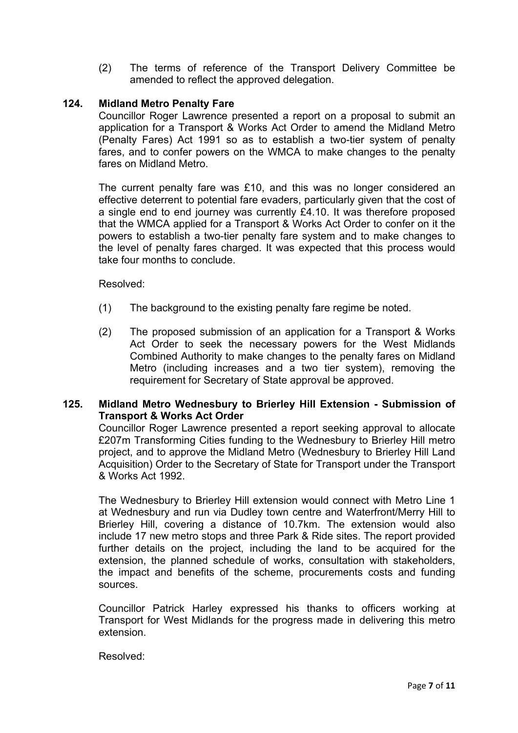(2) The terms of reference of the Transport Delivery Committee be amended to reflect the approved delegation.

# **124. Midland Metro Penalty Fare**

Councillor Roger Lawrence presented a report on a proposal to submit an application for a Transport & Works Act Order to amend the Midland Metro (Penalty Fares) Act 1991 so as to establish a two-tier system of penalty fares, and to confer powers on the WMCA to make changes to the penalty fares on Midland Metro.

The current penalty fare was £10, and this was no longer considered an effective deterrent to potential fare evaders, particularly given that the cost of a single end to end journey was currently £4.10. It was therefore proposed that the WMCA applied for a Transport & Works Act Order to confer on it the powers to establish a two-tier penalty fare system and to make changes to the level of penalty fares charged. It was expected that this process would take four months to conclude.

Resolved:

- (1) The background to the existing penalty fare regime be noted.
- (2) The proposed submission of an application for a Transport & Works Act Order to seek the necessary powers for the West Midlands Combined Authority to make changes to the penalty fares on Midland Metro (including increases and a two tier system), removing the requirement for Secretary of State approval be approved.

# **125. Midland Metro Wednesbury to Brierley Hill Extension - Submission of Transport & Works Act Order**

Councillor Roger Lawrence presented a report seeking approval to allocate £207m Transforming Cities funding to the Wednesbury to Brierley Hill metro project, and to approve the Midland Metro (Wednesbury to Brierley Hill Land Acquisition) Order to the Secretary of State for Transport under the Transport & Works Act 1992.

The Wednesbury to Brierley Hill extension would connect with Metro Line 1 at Wednesbury and run via Dudley town centre and Waterfront/Merry Hill to Brierley Hill, covering a distance of 10.7km. The extension would also include 17 new metro stops and three Park & Ride sites. The report provided further details on the project, including the land to be acquired for the extension, the planned schedule of works, consultation with stakeholders, the impact and benefits of the scheme, procurements costs and funding sources.

Councillor Patrick Harley expressed his thanks to officers working at Transport for West Midlands for the progress made in delivering this metro extension.

Resolved: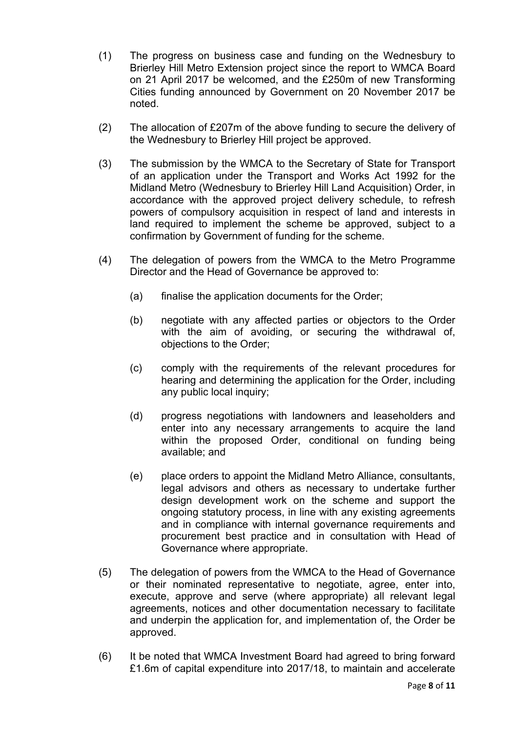- (1) The progress on business case and funding on the Wednesbury to Brierley Hill Metro Extension project since the report to WMCA Board on 21 April 2017 be welcomed, and the £250m of new Transforming Cities funding announced by Government on 20 November 2017 be noted.
- (2) The allocation of £207m of the above funding to secure the delivery of the Wednesbury to Brierley Hill project be approved.
- (3) The submission by the WMCA to the Secretary of State for Transport of an application under the Transport and Works Act 1992 for the Midland Metro (Wednesbury to Brierley Hill Land Acquisition) Order, in accordance with the approved project delivery schedule, to refresh powers of compulsory acquisition in respect of land and interests in land required to implement the scheme be approved, subject to a confirmation by Government of funding for the scheme.
- (4) The delegation of powers from the WMCA to the Metro Programme Director and the Head of Governance be approved to:
	- (a) finalise the application documents for the Order;
	- (b) negotiate with any affected parties or objectors to the Order with the aim of avoiding, or securing the withdrawal of, objections to the Order;
	- (c) comply with the requirements of the relevant procedures for hearing and determining the application for the Order, including any public local inquiry;
	- (d) progress negotiations with landowners and leaseholders and enter into any necessary arrangements to acquire the land within the proposed Order, conditional on funding being available; and
	- (e) place orders to appoint the Midland Metro Alliance, consultants, legal advisors and others as necessary to undertake further design development work on the scheme and support the ongoing statutory process, in line with any existing agreements and in compliance with internal governance requirements and procurement best practice and in consultation with Head of Governance where appropriate.
- (5) The delegation of powers from the WMCA to the Head of Governance or their nominated representative to negotiate, agree, enter into, execute, approve and serve (where appropriate) all relevant legal agreements, notices and other documentation necessary to facilitate and underpin the application for, and implementation of, the Order be approved.
- (6) It be noted that WMCA Investment Board had agreed to bring forward £1.6m of capital expenditure into 2017/18, to maintain and accelerate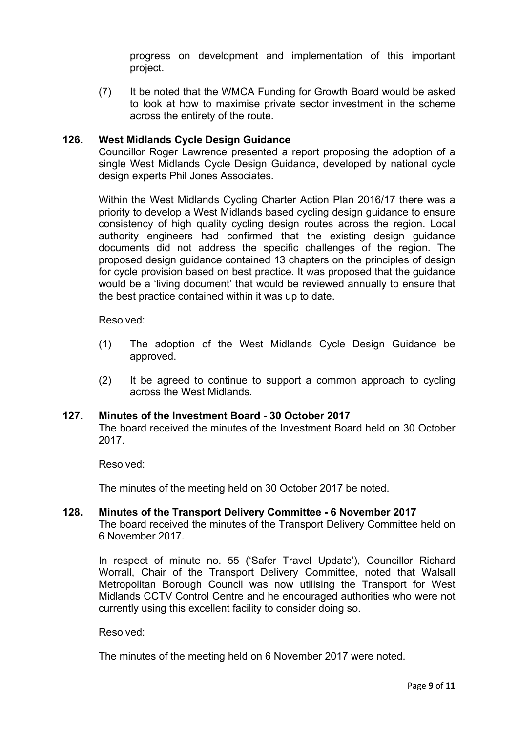progress on development and implementation of this important project.

(7) It be noted that the WMCA Funding for Growth Board would be asked to look at how to maximise private sector investment in the scheme across the entirety of the route.

## **126. West Midlands Cycle Design Guidance**

Councillor Roger Lawrence presented a report proposing the adoption of a single West Midlands Cycle Design Guidance, developed by national cycle design experts Phil Jones Associates.

Within the West Midlands Cycling Charter Action Plan 2016/17 there was a priority to develop a West Midlands based cycling design guidance to ensure consistency of high quality cycling design routes across the region. Local authority engineers had confirmed that the existing design guidance documents did not address the specific challenges of the region. The proposed design guidance contained 13 chapters on the principles of design for cycle provision based on best practice. It was proposed that the guidance would be a 'living document' that would be reviewed annually to ensure that the best practice contained within it was up to date.

Resolved:

- (1) The adoption of the West Midlands Cycle Design Guidance be approved.
- (2) It be agreed to continue to support a common approach to cycling across the West Midlands.

## **127. Minutes of the Investment Board - 30 October 2017**

The board received the minutes of the Investment Board held on 30 October 2017.

Resolved:

The minutes of the meeting held on 30 October 2017 be noted.

## **128. Minutes of the Transport Delivery Committee - 6 November 2017** The board received the minutes of the Transport Delivery Committee held on 6 November 2017.

In respect of minute no. 55 ('Safer Travel Update'), Councillor Richard Worrall, Chair of the Transport Delivery Committee, noted that Walsall Metropolitan Borough Council was now utilising the Transport for West Midlands CCTV Control Centre and he encouraged authorities who were not currently using this excellent facility to consider doing so.

Resolved:

The minutes of the meeting held on 6 November 2017 were noted.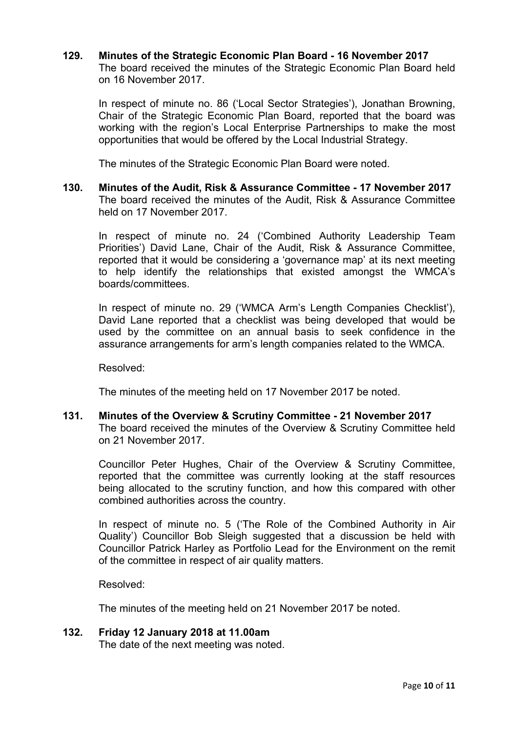## **129. Minutes of the Strategic Economic Plan Board - 16 November 2017** The board received the minutes of the Strategic Economic Plan Board held on 16 November 2017.

In respect of minute no. 86 ('Local Sector Strategies'), Jonathan Browning, Chair of the Strategic Economic Plan Board, reported that the board was working with the region's Local Enterprise Partnerships to make the most opportunities that would be offered by the Local Industrial Strategy.

The minutes of the Strategic Economic Plan Board were noted.

**130. Minutes of the Audit, Risk & Assurance Committee - 17 November 2017** The board received the minutes of the Audit, Risk & Assurance Committee held on 17 November 2017.

In respect of minute no. 24 ('Combined Authority Leadership Team Priorities') David Lane, Chair of the Audit, Risk & Assurance Committee, reported that it would be considering a 'governance map' at its next meeting to help identify the relationships that existed amongst the WMCA's boards/committees.

In respect of minute no. 29 ('WMCA Arm's Length Companies Checklist'), David Lane reported that a checklist was being developed that would be used by the committee on an annual basis to seek confidence in the assurance arrangements for arm's length companies related to the WMCA.

Resolved:

The minutes of the meeting held on 17 November 2017 be noted.

**131. Minutes of the Overview & Scrutiny Committee - 21 November 2017** The board received the minutes of the Overview & Scrutiny Committee held on 21 November 2017.

Councillor Peter Hughes, Chair of the Overview & Scrutiny Committee, reported that the committee was currently looking at the staff resources being allocated to the scrutiny function, and how this compared with other combined authorities across the country.

In respect of minute no. 5 ('The Role of the Combined Authority in Air Quality') Councillor Bob Sleigh suggested that a discussion be held with Councillor Patrick Harley as Portfolio Lead for the Environment on the remit of the committee in respect of air quality matters.

Resolved:

The minutes of the meeting held on 21 November 2017 be noted.

**132. Friday 12 January 2018 at 11.00am** The date of the next meeting was noted.